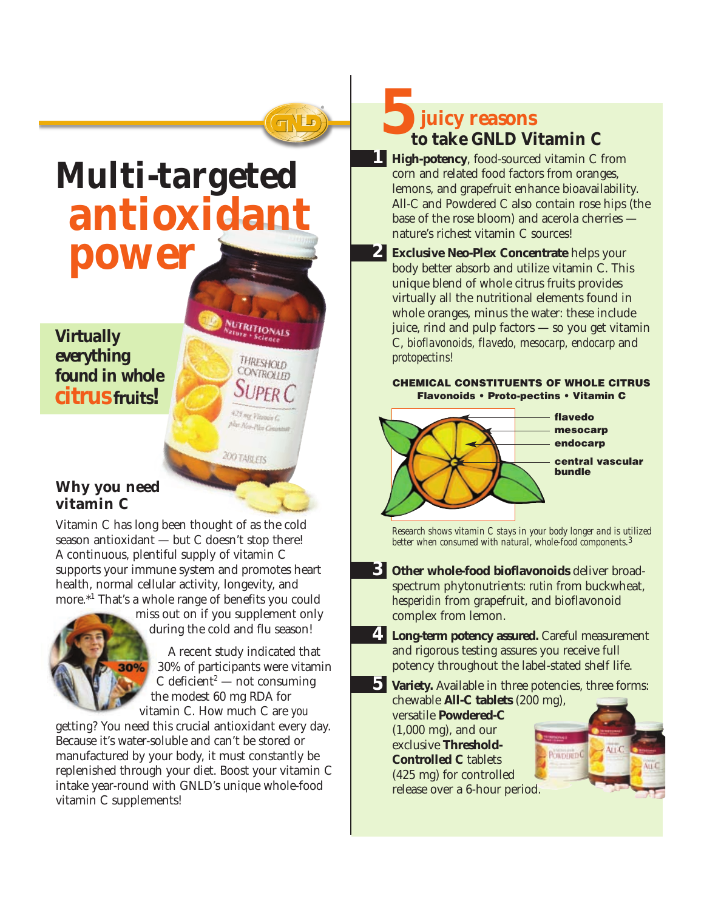

# **Multi-targeted antioxidant power**

*Virtually everything found in whole citrus fruits!*

### **Why you need vitamin C**

30%

Vitamin C has long been thought of as the cold season antioxidant — but C doesn't stop there! A continuous, plentiful supply of vitamin C supports your immune system and promotes heart health, normal cellular activity, longevity, and more.\*1 That's a whole range of benefits you could

> miss out on if you supplement only during the cold and flu season!

NUTRITIONALS

THRESHOLD CONTROLLED

425 mg Vitawia C plin New-Plex Congress

**200 TABLETS** 

A recent study indicated that 30% of participants were vitamin C deficient<sup>2</sup> — not consuming the modest 60 mg RDA for vitamin C. How much C are *you*

getting? You need this crucial antioxidant every day. Because it's water-soluble and can't be stored or manufactured by your body, it must constantly be replenished through your diet. Boost your vitamin C intake year-round with GNLD's unique whole-food vitamin C supplements!

*5***juicy reasons to take GNLD Vitamin C**

- *1* **High-potency**, food-sourced vitamin C from corn and related food factors from oranges, lemons, and grapefruit enhance bioavailability. All-C and Powdered C also contain rose hips (the base of the rose bloom) and acerola cherries nature's richest vitamin C sources!
- *2* **Exclusive Neo-Plex Concentrate** helps your body better absorb and utilize vitamin C. This unique blend of whole citrus fruits provides virtually all the nutritional elements found in whole oranges, minus the water: these include juice, rind and pulp factors — so you get vitamin C, *bioflavonoids, flavedo, mesocarp, endocarp* and *protopectins!*

#### **CHEMICAL CONSTITUENTS OF WHOLE CITRUS Flavonoids • Proto-pectins • Vitamin C**



*Research shows vitamin C stays in your body longer and is utilized better when consumed with natural, whole-food components.3*

- *3* **Other whole-food bioflavonoids** deliver broadspectrum phytonutrients: *rutin* from buckwheat, *hesperidin* from grapefruit, and bioflavonoid complex from lemon.
- *4* **Long-term potency assured.** Careful measurement and rigorous testing assures you receive full potency throughout the label-stated shelf life.
- *5* **Variety.** Available in three potencies, three forms:

chewable **All-C tablets** (200 mg), versatile **Powdered-C** (1,000 mg), and our exclusive **Threshold-Controlled C** tablets (425 mg) for controlled release over a 6-hour period.